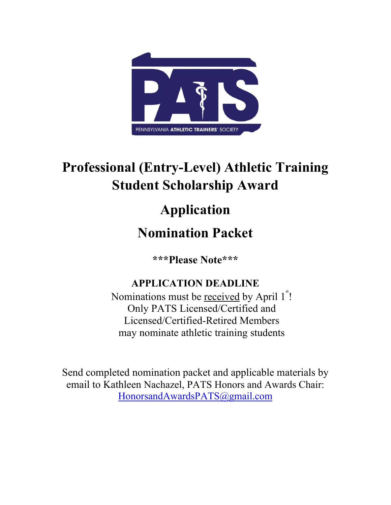

# **Professional (Entry-Level) Athletic Training Student Scholarship Award**

# **Application**

## **Nomination Packet**

**\*\*\*Please Note\*\*\***

## **APPLICATION DEADLINE**

Nominations must be received by April 1<sup>st</sup>! Only PATS Licensed/Certified and Licensed/Certified-Retired Members may nominate athletic training students

Send completed nomination packet and applicable materials by email to Kathleen Nachazel, PATS Honors and Awards Chair: HonorsandAwardsPATS@gmail.com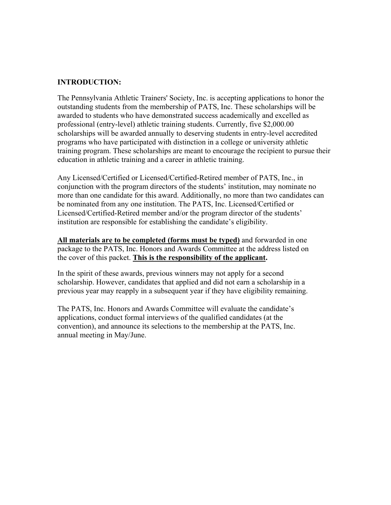#### **INTRODUCTION:**

The Pennsylvania Athletic Trainers' Society, Inc. is accepting applications to honor the outstanding students from the membership of PATS, Inc. These scholarships will be awarded to students who have demonstrated success academically and excelled as professional (entry-level) athletic training students. Currently, five \$2,000.00 scholarships will be awarded annually to deserving students in entry-level accredited programs who have participated with distinction in a college or university athletic training program. These scholarships are meant to encourage the recipient to pursue their education in athletic training and a career in athletic training.

Any Licensed/Certified or Licensed/Certified-Retired member of PATS, Inc., in conjunction with the program directors of the students' institution, may nominate no more than one candidate for this award. Additionally, no more than two candidates can be nominated from any one institution. The PATS, Inc. Licensed/Certified or Licensed/Certified-Retired member and/or the program director of the students' institution are responsible for establishing the candidate's eligibility.

**All materials are to be completed (forms must be typed)** and forwarded in one package to the PATS, Inc. Honors and Awards Committee at the address listed on the cover of this packet. **This is the responsibility of the applicant.** 

In the spirit of these awards, previous winners may not apply for a second scholarship. However, candidates that applied and did not earn a scholarship in a previous year may reapply in a subsequent year if they have eligibility remaining.

The PATS, Inc. Honors and Awards Committee will evaluate the candidate's applications, conduct formal interviews of the qualified candidates (at the convention), and announce its selections to the membership at the PATS, Inc. annual meeting in May/June.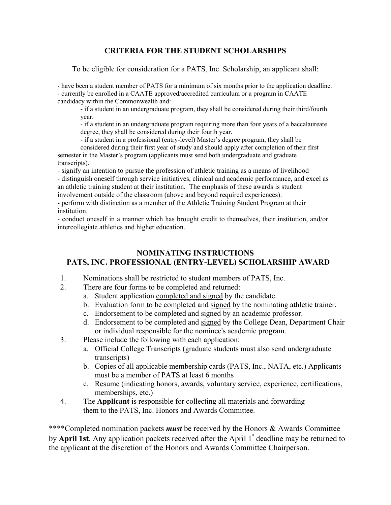#### **CRITERIA FOR THE STUDENT SCHOLARSHIPS**

To be eligible for consideration for a PATS, Inc. Scholarship, an applicant shall:

- have been a student member of PATS for a minimum of six months prior to the application deadline. - currently be enrolled in a CAATE approved/accredited curriculum or a program in CAATE candidacy within the Commonwealth and:

 - if a student in an undergraduate program, they shall be considered during their third/fourth year.

 - if a student in an undergraduate program requiring more than four years of a baccalaureate degree, they shall be considered during their fourth year.

- if a student in a professional (entry-level) Master's degree program, they shall be

considered during their first year of study and should apply after completion of their first semester in the Master's program (applicants must send both undergraduate and graduate transcripts).

- signify an intention to pursue the profession of athletic training as a means of livelihood - distinguish oneself through service initiatives, clinical and academic performance, and excel as an athletic training student at their institution. The emphasis of these awards is student involvement outside of the classroom (above and beyond required experiences).

- perform with distinction as a member of the Athletic Training Student Program at their institution.

- conduct oneself in a manner which has brought credit to themselves, their institution, and/or intercollegiate athletics and higher education.

#### **NOMINATING INSTRUCTIONS PATS, INC. PROFESSIONAL (ENTRY-LEVEL) SCHOLARSHIP AWARD**

- 1. Nominations shall be restricted to student members of PATS, Inc.
- 2. There are four forms to be completed and returned:
	- a. Student application completed and signed by the candidate.
	- b. Evaluation form to be completed and signed by the nominating athletic trainer.
	- c. Endorsement to be completed and signed by an academic professor.
	- d. Endorsement to be completed and signed by the College Dean, Department Chair or individual responsible for the nominee's academic program.
- 3. Please include the following with each application:
	- a. Official College Transcripts (graduate students must also send undergraduate transcripts)
	- b. Copies of all applicable membership cards (PATS, Inc., NATA, etc.) Applicants must be a member of PATS at least 6 months
	- c. Resume (indicating honors, awards, voluntary service, experience, certifications, memberships, etc.)
- 4. The **Applicant** is responsible for collecting all materials and forwarding them to the PATS, Inc. Honors and Awards Committee.

\*\*\*\*Completed nomination packets *must* be received by the Honors & Awards Committee by **April 1st**. Any application packets received after the April 1<sup>st</sup> deadline may be returned to the applicant at the discretion of the Honors and Awards Committee Chairperson.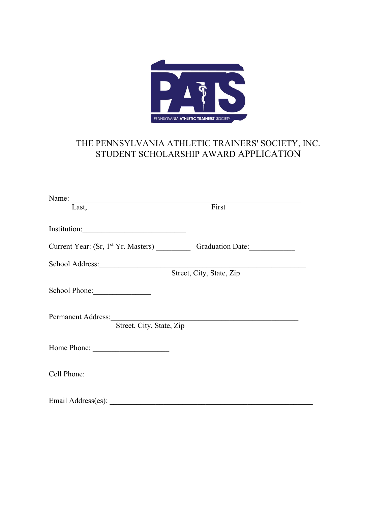

## THE PENNSYLVANIA ATHLETIC TRAINERS' SOCIETY, INC. STUDENT SCHOLARSHIP AWARD APPLICATION

| Name:                                                                            |                          |  |  |  |  |
|----------------------------------------------------------------------------------|--------------------------|--|--|--|--|
| Last,                                                                            | First                    |  |  |  |  |
|                                                                                  |                          |  |  |  |  |
| Institution:                                                                     |                          |  |  |  |  |
| Current Year: (Sr, 1st Yr. Masters) _____________ Graduation Date: _____________ |                          |  |  |  |  |
|                                                                                  |                          |  |  |  |  |
|                                                                                  | Street, City, State, Zip |  |  |  |  |
|                                                                                  |                          |  |  |  |  |
|                                                                                  |                          |  |  |  |  |
| <b>Permanent Address:</b>                                                        |                          |  |  |  |  |
| Street, City, State, Zip                                                         |                          |  |  |  |  |
|                                                                                  |                          |  |  |  |  |
|                                                                                  |                          |  |  |  |  |
|                                                                                  |                          |  |  |  |  |
|                                                                                  |                          |  |  |  |  |
|                                                                                  |                          |  |  |  |  |
| Email Address(es):                                                               |                          |  |  |  |  |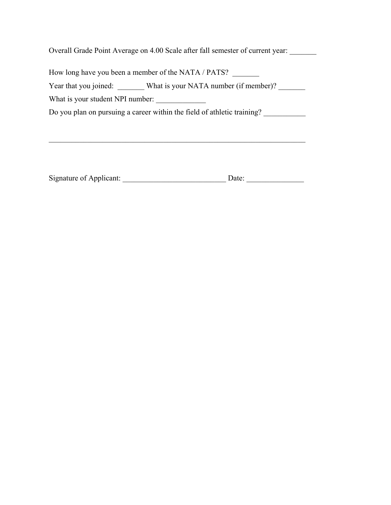Overall Grade Point Average on 4.00 Scale after fall semester of current year: \_\_\_\_\_\_\_

How long have you been a member of the NATA / PATS? \_\_\_\_\_\_\_

Year that you joined: What is your NATA number (if member)?

What is your student NPI number:

Do you plan on pursuing a career within the field of athletic training? \_\_\_\_\_\_\_\_\_

| Signature of Applicant: |  |
|-------------------------|--|
|                         |  |

 $\mathcal{L}_\text{G}$  , and the contribution of the contribution of the contribution of the contribution of the contribution of the contribution of the contribution of the contribution of the contribution of the contribution of t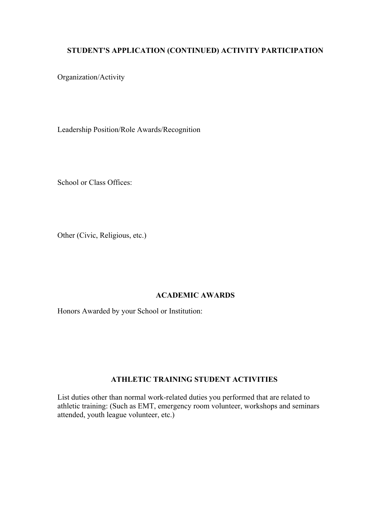#### **STUDENT'S APPLICATION (CONTINUED) ACTIVITY PARTICIPATION**

Organization/Activity

Leadership Position/Role Awards/Recognition

School or Class Offices:

Other (Civic, Religious, etc.)

#### **ACADEMIC AWARDS**

Honors Awarded by your School or Institution:

#### **ATHLETIC TRAINING STUDENT ACTIVITIES**

List duties other than normal work-related duties you performed that are related to athletic training: (Such as EMT, emergency room volunteer, workshops and seminars attended, youth league volunteer, etc.)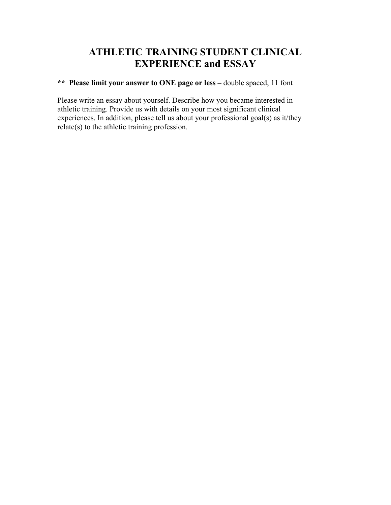## **ATHLETIC TRAINING STUDENT CLINICAL EXPERIENCE and ESSAY**

**\*\* Please limit your answer to ONE page or less –** double spaced, 11 font

Please write an essay about yourself. Describe how you became interested in athletic training. Provide us with details on your most significant clinical experiences. In addition, please tell us about your professional goal(s) as it/they relate(s) to the athletic training profession.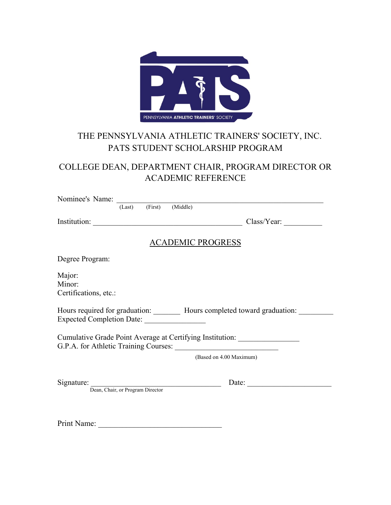

## THE PENNSYLVANIA ATHLETIC TRAINERS' SOCIETY, INC. PATS STUDENT SCHOLARSHIP PROGRAM

### COLLEGE DEAN, DEPARTMENT CHAIR, PROGRAM DIRECTOR OR ACADEMIC REFERENCE

| Nominee's Name:                           |        |         |                                  |                                                                                                                           |
|-------------------------------------------|--------|---------|----------------------------------|---------------------------------------------------------------------------------------------------------------------------|
|                                           | (Last) | (First) | (Middle)                         |                                                                                                                           |
| Institution:                              |        |         |                                  | Class/Year:                                                                                                               |
|                                           |        |         | <b>ACADEMIC PROGRESS</b>         |                                                                                                                           |
| Degree Program:                           |        |         |                                  |                                                                                                                           |
| Major:<br>Minor:<br>Certifications, etc.: |        |         |                                  |                                                                                                                           |
|                                           |        |         |                                  | Hours required for graduation: _________ Hours completed toward graduation: _____                                         |
|                                           |        |         |                                  | Cumulative Grade Point Average at Certifying Institution: ______________________<br>G.P.A. for Athletic Training Courses: |
|                                           |        |         |                                  | (Based on 4.00 Maximum)                                                                                                   |
| Signature:                                |        |         | Dean, Chair, or Program Director | Date:                                                                                                                     |
|                                           |        |         |                                  |                                                                                                                           |
|                                           |        |         |                                  |                                                                                                                           |
|                                           |        |         |                                  |                                                                                                                           |

Print Name: \_\_\_\_\_\_\_\_\_\_\_\_\_\_\_\_\_\_\_\_\_\_\_\_\_\_\_\_\_\_\_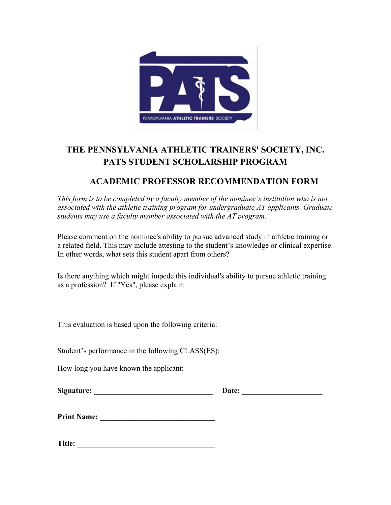

## **THE PENNSYLVANIA ATHLETIC TRAINERS' SOCIETY, INC. PATS STUDENT SCHOLARSHIP PROGRAM**

### **ACADEMIC PROFESSOR RECOMMENDATION FORM**

*This form is to be completed by a faculty member of the nominee's institution who is not associated with the athletic training program for undergraduate AT applicants. Graduate students may use a faculty member associated with the AT program.* 

Please comment on the nominee's ability to pursue advanced study in athletic training or a related field. This may include attesting to the student's knowledge or clinical expertise. In other words, what sets this student apart from others?

Is there anything which might impede this individual's ability to pursue athletic training as a profession? If "Yes", please explain:

This evaluation is based upon the following criteria:

Student's performance in the following CLASS(ES):

How long you have known the applicant:

**Print Name: \_\_\_\_\_\_\_\_\_\_\_\_\_\_\_\_\_\_\_\_\_\_\_\_\_\_\_\_\_\_** 

**Title: \_\_\_\_\_\_\_\_\_\_\_\_\_\_\_\_\_\_\_\_\_\_\_\_\_\_\_\_\_\_\_\_\_\_\_\_**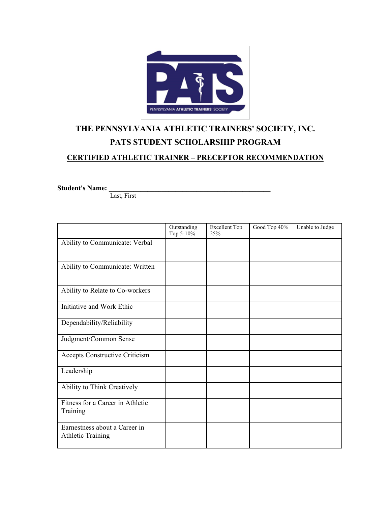

## **THE PENNSYLVANIA ATHLETIC TRAINERS' SOCIETY, INC. PATS STUDENT SCHOLARSHIP PROGRAM**

#### **CERTIFIED ATHLETIC TRAINER – PRECEPTOR RECOMMENDATION**

**Student's Name: \_\_\_\_\_\_\_\_\_\_\_\_\_\_\_\_\_\_\_\_\_\_\_\_\_\_\_\_\_\_\_\_\_\_\_\_\_\_\_\_\_\_\_\_\_\_**

Last, First

|                                                           | Outstanding<br>Top 5-10% | <b>Excellent Top</b><br>25% | Good Top 40% | Unable to Judge |
|-----------------------------------------------------------|--------------------------|-----------------------------|--------------|-----------------|
| Ability to Communicate: Verbal                            |                          |                             |              |                 |
| Ability to Communicate: Written                           |                          |                             |              |                 |
| Ability to Relate to Co-workers                           |                          |                             |              |                 |
| Initiative and Work Ethic                                 |                          |                             |              |                 |
| Dependability/Reliability                                 |                          |                             |              |                 |
| Judgment/Common Sense                                     |                          |                             |              |                 |
| Accepts Constructive Criticism                            |                          |                             |              |                 |
| Leadership                                                |                          |                             |              |                 |
| Ability to Think Creatively                               |                          |                             |              |                 |
| Fitness for a Career in Athletic<br>Training              |                          |                             |              |                 |
| Earnestness about a Career in<br><b>Athletic Training</b> |                          |                             |              |                 |